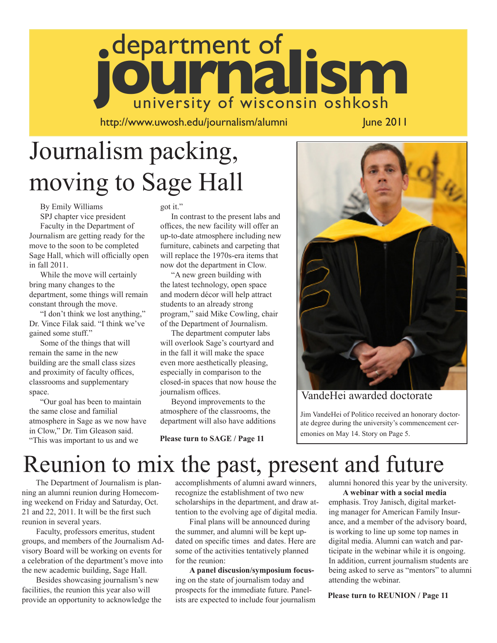# department of **journalism**

http://www.uwosh.edu/journalism/alumni June 2011

# Journalism packing, moving to Sage Hall

By Emily Williams SPJ chapter vice president

Faculty in the Department of Journalism are getting ready for the move to the soon to be completed Sage Hall, which will officially open in fall 2011.

While the move will certainly bring many changes to the department, some things will remain constant through the move.

"I don't think we lost anything," Dr. Vince Filak said. "I think we've gained some stuff."

Some of the things that will remain the same in the new building are the small class sizes and proximity of faculty offices, classrooms and supplementary space.

"Our goal has been to maintain the same close and familial atmosphere in Sage as we now have in Clow," Dr. Tim Gleason said. "This was important to us and we

got it."

In contrast to the present labs and offices, the new facility will offer an up-to-date atmosphere including new furniture, cabinets and carpeting that will replace the 1970s-era items that now dot the department in Clow.

"A new green building with the latest technology, open space and modern décor will help attract students to an already strong program," said Mike Cowling, chair of the Department of Journalism.

The department computer labs will overlook Sage's courtyard and in the fall it will make the space even more aesthetically pleasing, especially in comparison to the closed-in spaces that now house the journalism offices.

Beyond improvements to the atmosphere of the classrooms, the department will also have additions

**Please turn to SAGE / Page 11**



### VandeHei awarded doctorate

 Jim VandeHei of Politico received an honorary doctor ate degree during the university's commencement cer emonies on May 14. Story on Page 5.

# Reunion to mix the past, present and future

 The Department of Journalism is planning an alumni reunion during Homecoming weekend on Friday and Saturday, Oct. 21 and 22, 2011. It will be the first such reunion in several years.

 Faculty, professors emeritus, student groups, and members of the Journalism Advisory Board will be working on events for a celebration of the department's move into the new academic building, Sage Hall.

 Besides showcasing journalism's new facilities, the reunion this year also will provide an opportunity to acknowledge the

accomplishments of alumni award winners, recognize the establishment of two new scholarships in the department, and draw attention to the evolving age of digital media.

 Final plans will be announced during the summer, and alumni will be kept updated on specific times and dates. Here are some of the activities tentatively planned for the reunion:

 **A panel discusion/symposium focus**ing on the state of journalism today and prospects for the immediate future. Panelists are expected to include four journalism alumni honored this year by the university.

 **A webinar with a social media**  emphasis. Troy Janisch, digital marketing manager for American Family Insurance, and a member of the advisory board, is working to line up some top names in digital media. Alumni can watch and participate in the webinar while it is ongoing. In addition, current journalism students are being asked to serve as "mentors" to alumni attending the webinar.

**Please turn to REUNION / Page 11**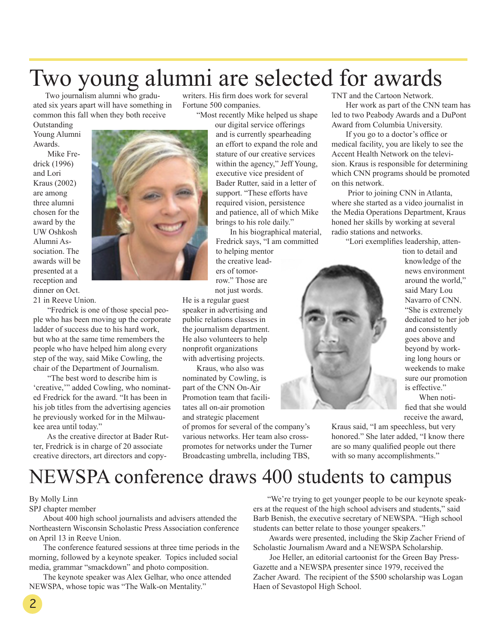### Two young alumni are selected for awards writers. His firm does work for several

Fortune 500 companies.

 Two journalism alumni who graduated six years apart will have something in common this fall when they both receive

Outstanding Young Alumni Awards.

 Mike Fredrick (1996) and Lori Kraus (2002) are among three alumni chosen for the award by the UW Oshkosh Alumni Association. The awards will be presented at a reception and dinner on Oct.

21 in Reeve Union.

 "Fredrick is one of those special people who has been moving up the corporate ladder of success due to his hard work, but who at the same time remembers the people who have helped him along every step of the way, said Mike Cowling, the chair of the Department of Journalism.

 "The best word to describe him is 'creative,'" added Cowling, who nominated Fredrick for the award. "It has been in his job titles from the advertising agencies he previously worked for in the Milwaukee area until today."

 As the creative director at Bader Rutter, Fredrick is in charge of 20 associate creative directors, art directors and copy "Most recently Mike helped us shape our digital service offerings and is currently spearheading an effort to expand the role and stature of our creative services within the agency," Jeff Young, executive vice president of

Bader Rutter, said in a letter of support. "These efforts have required vision, persistence and patience, all of which Mike brings to his role daily."

 In his biographical material, Fredrick says, "I am committed to helping mentor the creative lead-

ers of tomorrow." Those are not just words.

He is a regular guest speaker in advertising and public relations classes in the journalism department. He also volunteers to help nonprofit organizations with advertising projects.

 Kraus, who also was nominated by Cowling, is part of the CNN On-Air Promotion team that facilitates all on-air promotion and strategic placement

of promos for several of the company's various networks. Her team also crosspromotes for networks under the Turner Broadcasting umbrella, including TBS,

TNT and the Cartoon Network.

 Her work as part of the CNN team has led to two Peabody Awards and a DuPont Award from Columbia University.

 If you go to a doctor's office or medical facility, you are likely to see the Accent Health Network on the television. Kraus is responsible for determining which CNN programs should be promoted on this network.

 Prior to joining CNN in Atlanta, where she started as a video journalist in the Media Operations Department, Kraus honed her skills by working at several radio stations and networks.

"Lori exemplifies leadership, atten-



tion to detail and knowledge of the news environment around the world," said Mary Lou Navarro of CNN. "She is extremely dedicated to her job and consistently goes above and beyond by working long hours or weekends to make sure our promotion is effective." When noti-

fied that she would receive the award,

Kraus said, "I am speechless, but very honored." She later added, "I know there are so many qualified people out there with so many accomplishments."

# NEWSPA conference draws 400 students to campus

#### By Molly Linn

2

SPJ chapter member

 About 400 high school journalists and advisers attended the Northeastern Wisconsin Scholastic Press Association conference on April 13 in Reeve Union.

 The conference featured sessions at three time periods in the morning, followed by a keynote speaker. Topics included social media, grammar "smackdown" and photo composition.

 The keynote speaker was Alex Gelhar, who once attended NEWSPA, whose topic was "The Walk-on Mentality."

 "We're trying to get younger people to be our keynote speakers at the request of the high school advisers and students," said Barb Benish, the executive secretary of NEWSPA. "High school students can better relate to those younger speakers."

 Awards were presented, including the Skip Zacher Friend of Scholastic Journalism Award and a NEWSPA Scholarship.

 Joe Heller, an editorial cartoonist for the Green Bay Press-Gazette and a NEWSPA presenter since 1979, received the Zacher Award. The recipient of the \$500 scholarship was Logan Haen of Sevastopol High School.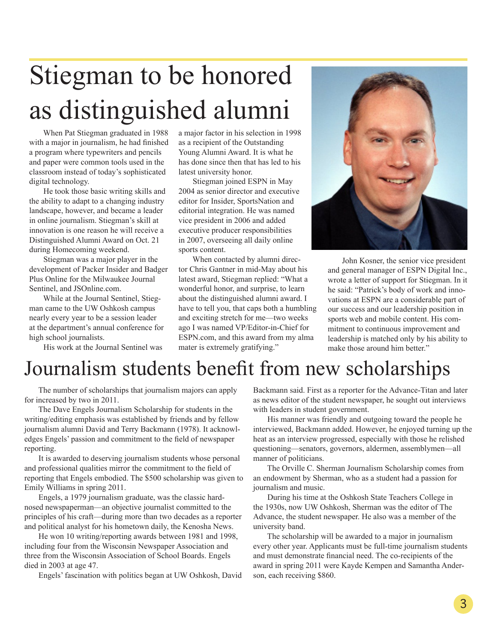# Stiegman to be honored as distinguished alumni

 When Pat Stiegman graduated in 1988 with a major in journalism, he had finished a program where typewriters and pencils and paper were common tools used in the classroom instead of today's sophisticated digital technology.

 He took those basic writing skills and the ability to adapt to a changing industry landscape, however, and became a leader in online journalism. Stiegman's skill at innovation is one reason he will receive a Distinguished Alumni Award on Oct. 21 during Homecoming weekend.

 Stiegman was a major player in the development of Packer Insider and Badger Plus Online for the Milwaukee Journal Sentinel, and JSOnline.com.

 While at the Journal Sentinel, Stiegman came to the UW Oshkosh campus nearly every year to be a session leader at the department's annual conference for high school journalists.

His work at the Journal Sentinel was

a major factor in his selection in 1998 as a recipient of the Outstanding Young Alumni Award. It is what he has done since then that has led to his latest university honor.

 Stiegman joined ESPN in May 2004 as senior director and executive editor for Insider, SportsNation and editorial integration. He was named vice president in 2006 and added executive producer responsibilities in 2007, overseeing all daily online sports content.

 When contacted by alumni director Chris Gantner in mid-May about his latest award, Stiegman replied: "What a wonderful honor, and surprise, to learn about the distinguished alumni award. I have to tell you, that caps both a humbling and exciting stretch for me—two weeks ago I was named VP/Editor-in-Chief for ESPN.com, and this award from my alma mater is extremely gratifying."



 John Kosner, the senior vice president and general manager of ESPN Digital Inc., wrote a letter of support for Stiegman. In it he said: "Patrick's body of work and innovations at ESPN are a considerable part of our success and our leadership position in sports web and mobile content. His commitment to continuous improvement and leadership is matched only by his ability to make those around him better."

# Journalism students benefit from new scholarships

 The number of scholarships that journalism majors can apply for increased by two in 2011.

 The Dave Engels Journalism Scholarship for students in the writing/editing emphasis was established by friends and by fellow journalism alumni David and Terry Backmann (1978). It acknowledges Engels' passion and commitment to the field of newspaper reporting.

 It is awarded to deserving journalism students whose personal and professional qualities mirror the commitment to the field of reporting that Engels embodied. The \$500 scholarship was given to Emily Williams in spring 2011.

 Engels, a 1979 journalism graduate, was the classic hardnosed newspaperman—an objective journalist committed to the principles of his craft—during more than two decades as a reporter and political analyst for his hometown daily, the Kenosha News.

 He won 10 writing/reporting awards between 1981 and 1998, including four from the Wisconsin Newspaper Association and three from the Wisconsin Association of School Boards. Engels died in 2003 at age 47.

Engels' fascination with politics began at UW Oshkosh, David

Backmann said. First as a reporter for the Advance-Titan and later as news editor of the student newspaper, he sought out interviews with leaders in student government.

 His manner was friendly and outgoing toward the people he interviewed, Backmann added. However, he enjoyed turning up the heat as an interview progressed, especially with those he relished questioning—senators, governors, aldermen, assemblymen—all manner of politicians.

 The Orville C. Sherman Journalism Scholarship comes from an endowment by Sherman, who as a student had a passion for journalism and music.

 During his time at the Oshkosh State Teachers College in the 1930s, now UW Oshkosh, Sherman was the editor of The Advance, the student newspaper. He also was a member of the university band.

 The scholarship will be awarded to a major in journalism every other year. Applicants must be full-time journalism students and must demonstrate financial need. The co-recipients of the award in spring 2011 were Kayde Kempen and Samantha Anderson, each receiving \$860.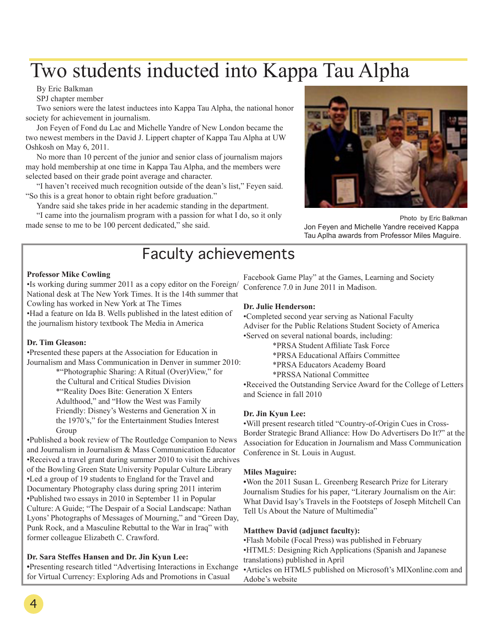# Two students inducted into Kappa Tau Alpha

By Eric Balkman

SPJ chapter member

Two seniors were the latest inductees into Kappa Tau Alpha, the national honor society for achievement in journalism.

Jon Feyen of Fond du Lac and Michelle Yandre of New London became the two newest members in the David J. Lippert chapter of Kappa Tau Alpha at UW Oshkosh on May 6, 2011.

No more than 10 percent of the junior and senior class of journalism majors may hold membership at one time in Kappa Tau Alpha, and the members were selected based on their grade point average and character.

"I haven't received much recognition outside of the dean's list," Feyen said. "So this is a great honor to obtain right before graduation."

Yandre said she takes pride in her academic standing in the department.

"I came into the journalism program with a passion for what I do, so it only made sense to me to be 100 percent dedicated," she said.



Photo by Eric Balkman Jon Feyen and Michelle Yandre received Kappa Tau Aplha awards from Professor Miles Maguire.

### Faculty achievements

### **Professor Mike Cowling**

•Is working during summer 2011 as a copy editor on the Foreign/ National desk at The New York Times. It is the 14th summer that Cowling has worked in New York at The Times

•Had a feature on Ida B. Wells published in the latest edition of the journalism history textbook The Media in America

### **Dr. Tim Gleason:**

•Presented these papers at the Association for Education in Journalism and Mass Communication in Denver in summer 2010:

> \*"Photographic Sharing: A Ritual (Over)View," for the Cultural and Critical Studies Division \*"Reality Does Bite: Generation X Enters Adulthood," and "How the West was Family Friendly: Disney's Westerns and Generation X in the 1970's," for the Entertainment Studies Interest Group

•Published a book review of The Routledge Companion to News and Journalism in Journalism & Mass Communication Educator •Received a travel grant during summer 2010 to visit the archives of the Bowling Green State University Popular Culture Library •Led a group of 19 students to England for the Travel and Documentary Photography class during spring 2011 interim •Published two essays in 2010 in September 11 in Popular Culture: A Guide; "The Despair of a Social Landscape: Nathan Lyons' Photographs of Messages of Mourning," and "Green Day, Punk Rock, and a Masculine Rebuttal to the War in Iraq" with former colleague Elizabeth C. Crawford.

### **Dr. Sara Steffes Hansen and Dr. Jin Kyun Lee:**

**•**Presenting research titled "Advertising Interactions in Exchange for Virtual Currency: Exploring Ads and Promotions in Casual

Facebook Game Play" at the Games, Learning and Society Conference 7.0 in June 2011 in Madison.

### **Dr. Julie Henderson:**

•Completed second year serving as National Faculty Adviser for the Public Relations Student Society of America •Served on several national boards, including:

\*PRSA Student Affiliate Task Force

\*PRSA Educational Affairs Committee

\*PRSA Educators Academy Board

\*PRSSA National Committee

•Received the Outstanding Service Award for the College of Letters and Science in fall 2010

### **Dr. Jin Kyun Lee:**

•Will present research titled "Country-of-Origin Cues in Cross-Border Strategic Brand Alliance: How Do Advertisers Do It?" at the Association for Education in Journalism and Mass Communication Conference in St. Louis in August.

### **Miles Maguire:**

**•**Won the 2011 Susan L. Greenberg Research Prize for Literary Journalism Studies for his paper, "Literary Journalism on the Air: What David Isay's Travels in the Footsteps of Joseph Mitchell Can Tell Us About the Nature of Multimedia"

### **Matthew David (adjunct faculty):**

•Flash Mobile (Focal Press) was published in February •HTML5: Designing Rich Applications (Spanish and Japanese translations) published in April •Articles on HTML5 published on Microsoft's MIXonline.com and Adobe's website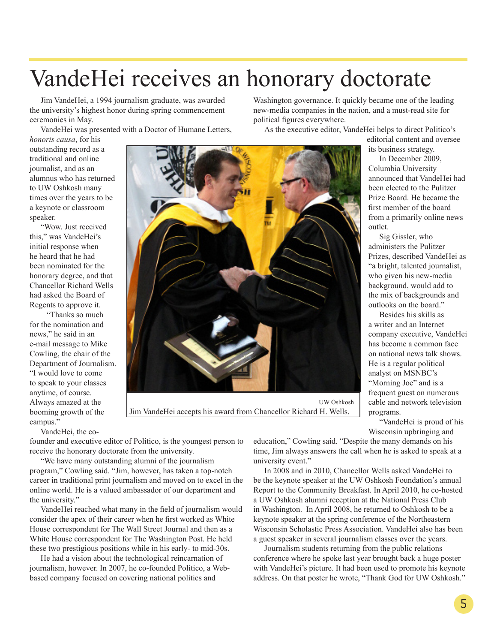# VandeHei receives an honorary doctorate

Jim VandeHei, a 1994 journalism graduate, was awarded the university's highest honor during spring commencement ceremonies in May.

VandeHei was presented with a Doctor of Humane Letters,

*honoris causa*, for his outstanding record as a traditional and online journalist, and as an alumnus who has returned to UW Oshkosh many times over the years to be a keynote or classroom speaker.

"Wow. Just received this," was VandeHei's initial response when he heard that he had been nominated for the honorary degree, and that Chancellor Richard Wells had asked the Board of Regents to approve it.

 "Thanks so much for the nomination and news," he said in an e-mail message to Mike Cowling, the chair of the Department of Journalism. "I would love to come to speak to your classes anytime, of course. Always amazed at the booming growth of the campus."

VandeHei, the co-



 UW Oshkosh Jim VandeHei accepts his award from Chancellor Richard H. Wells.

Washington governance. It quickly became one of the leading new-media companies in the nation, and a must-read site for political figures everywhere.

As the executive editor, VandeHei helps to direct Politico's

editorial content and oversee its business strategy.

In December 2009, Columbia University announced that VandeHei had been elected to the Pulitzer Prize Board. He became the first member of the board from a primarily online news outlet.

Sig Gissler, who administers the Pulitzer Prizes, described VandeHei as "a bright, talented journalist, who given his new-media background, would add to the mix of backgrounds and outlooks on the board."

Besides his skills as a writer and an Internet company executive, VandeHei has become a common face on national news talk shows. He is a regular political analyst on MSNBC's "Morning Joe" and is a frequent guest on numerous cable and network television programs.

"VandeHei is proud of his Wisconsin upbringing and

founder and executive editor of Politico, is the youngest person to receive the honorary doctorate from the university.

"We have many outstanding alumni of the journalism program," Cowling said. "Jim, however, has taken a top-notch career in traditional print journalism and moved on to excel in the online world. He is a valued ambassador of our department and the university."

VandeHei reached what many in the field of journalism would consider the apex of their career when he first worked as White House correspondent for The Wall Street Journal and then as a White House correspondent for The Washington Post. He held these two prestigious positions while in his early- to mid-30s.

He had a vision about the technological reincarnation of journalism, however. In 2007, he co-founded Politico, a Webbased company focused on covering national politics and

education," Cowling said. "Despite the many demands on his time, Jim always answers the call when he is asked to speak at a university event."

In 2008 and in 2010, Chancellor Wells asked VandeHei to be the keynote speaker at the UW Oshkosh Foundation's annual Report to the Community Breakfast. In April 2010, he co-hosted a UW Oshkosh alumni reception at the National Press Club in Washington. In April 2008, he returned to Oshkosh to be a keynote speaker at the spring conference of the Northeastern Wisconsin Scholastic Press Association. VandeHei also has been a guest speaker in several journalism classes over the years.

Journalism students returning from the public relations conference where he spoke last year brought back a huge poster with VandeHei's picture. It had been used to promote his keynote address. On that poster he wrote, "Thank God for UW Oshkosh."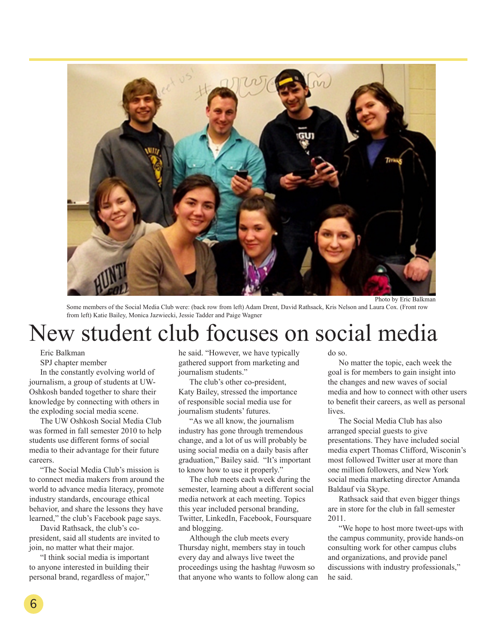

Photo by Eric Balkman

Some members of the Social Media Club were: (back row from left) Adam Drent, David Rathsack, Kris Nelson and Laura Cox. (Front row from left) Katie Bailey, Monica Jazwiecki, Jessie Tadder and Paige Wagner

# New student club focuses on social media

Eric Balkman

SPJ chapter member

In the constantly evolving world of journalism, a group of students at UW-Oshkosh banded together to share their knowledge by connecting with others in the exploding social media scene.

The UW Oshkosh Social Media Club was formed in fall semester 2010 to help students use different forms of social media to their advantage for their future careers.

"The Social Media Club's mission is to connect media makers from around the world to advance media literacy, promote industry standards, encourage ethical behavior, and share the lessons they have learned," the club's Facebook page says.

David Rathsack, the club's copresident, said all students are invited to join, no matter what their major.

"I think social media is important to anyone interested in building their personal brand, regardless of major," he said. "However, we have typically gathered support from marketing and journalism students."

The club's other co-president, Katy Bailey, stressed the importance of responsible social media use for journalism students' futures.

"As we all know, the journalism industry has gone through tremendous change, and a lot of us will probably be using social media on a daily basis after graduation," Bailey said. "It's important to know how to use it properly."

The club meets each week during the semester, learning about a different social media network at each meeting. Topics this year included personal branding, Twitter, LinkedIn, Facebook, Foursquare and blogging.

Although the club meets every Thursday night, members stay in touch every day and always live tweet the proceedings using the hashtag #uwosm so that anyone who wants to follow along can do so.

No matter the topic, each week the goal is for members to gain insight into the changes and new waves of social media and how to connect with other users to benefit their careers, as well as personal lives.

The Social Media Club has also arranged special guests to give presentations. They have included social media expert Thomas Clifford, Wisconin's most followed Twitter user at more than one million followers, and New York social media marketing director Amanda Baldauf via Skype.

Rathsack said that even bigger things are in store for the club in fall semester 2011.

"We hope to host more tweet-ups with the campus community, provide hands-on consulting work for other campus clubs and organizations, and provide panel discussions with industry professionals," he said.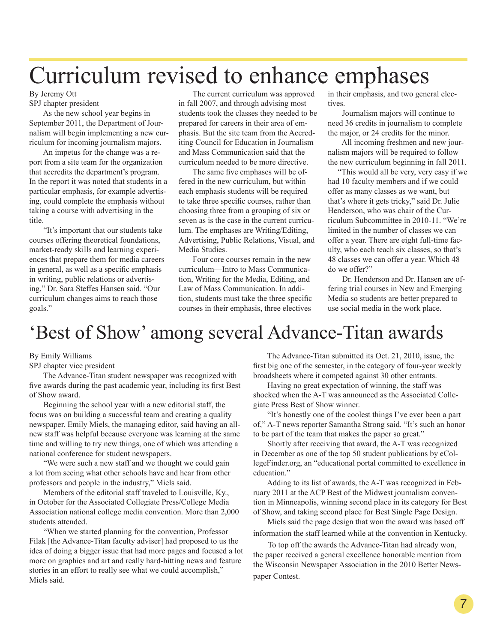# Curriculum revised to enhance emphases

#### By Jeremy Ott SPJ chapter president

 As the new school year begins in September 2011, the Department of Journalism will begin implementing a new curriculum for incoming journalism majors.

 An impetus for the change was a report from a site team for the organization that accredits the department's program. In the report it was noted that students in a particular emphasis, for example advertising, could complete the emphasis without taking a course with advertising in the title.

 "It's important that our students take courses offering theoretical foundations, market-ready skills and learning experiences that prepare them for media careers in general, as well as a specific emphasis in writing, public relations or advertising," Dr. Sara Steffes Hansen said. "Our curriculum changes aims to reach those goals."

 The current curriculum was approved in fall 2007, and through advising most students took the classes they needed to be prepared for careers in their area of emphasis. But the site team from the Accrediting Council for Education in Journalism and Mass Communication said that the curriculum needed to be more directive.

 The same five emphases will be offered in the new curriculum, but within each emphasis students will be required to take three specific courses, rather than choosing three from a grouping of six or seven as is the case in the current curriculum. The emphases are Writing/Editing, Advertising, Public Relations, Visual, and Media Studies.

 Four core courses remain in the new curriculum—Intro to Mass Communication, Writing for the Media, Editing, and Law of Mass Communication. In addition, students must take the three specific courses in their emphasis, three electives

in their emphasis, and two general electives.

 Journalism majors will continue to need 36 credits in journalism to complete the major, or 24 credits for the minor.

 All incoming freshmen and new journalism majors will be required to follow the new curriculum beginning in fall 2011.

 "This would all be very, very easy if we had 10 faculty members and if we could offer as many classes as we want, but that's where it gets tricky," said Dr. Julie Henderson, who was chair of the Curriculum Subcommittee in 2010-11. "We're limited in the number of classes we can offer a year. There are eight full-time faculty, who each teach six classes, so that's 48 classes we can offer a year. Which 48 do we offer?"

 Dr. Henderson and Dr. Hansen are offering trial courses in New and Emerging Media so students are better prepared to use social media in the work place.

# 'Best of Show' among several Advance-Titan awards

By Emily Williams

SPJ chapter vice president

 The Advance-Titan student newspaper was recognized with five awards during the past academic year, including its first Best of Show award.

 Beginning the school year with a new editorial staff, the focus was on building a successful team and creating a quality newspaper. Emily Miels, the managing editor, said having an allnew staff was helpful because everyone was learning at the same time and willing to try new things, one of which was attending a national conference for student newspapers.

 "We were such a new staff and we thought we could gain a lot from seeing what other schools have and hear from other professors and people in the industry," Miels said.

 Members of the editorial staff traveled to Louisville, Ky., in October for the Associated Collegiate Press/College Media Association national college media convention. More than 2,000 students attended.

 "When we started planning for the convention, Professor Filak [the Advance-Titan faculty adviser] had proposed to us the idea of doing a bigger issue that had more pages and focused a lot more on graphics and art and really hard-hitting news and feature stories in an effort to really see what we could accomplish," Miels said.

 The Advance-Titan submitted its Oct. 21, 2010, issue, the first big one of the semester, in the category of four-year weekly broadsheets where it competed against 30 other entrants.

 Having no great expectation of winning, the staff was shocked when the A-T was announced as the Associated Collegiate Press Best of Show winner.

 "It's honestly one of the coolest things I've ever been a part of," A-T news reporter Samantha Strong said. "It's such an honor to be part of the team that makes the paper so great."

 Shortly after receiving that award, the A-T was recognized in December as one of the top 50 student publications by eCollegeFinder.org, an "educational portal committed to excellence in education."

 Adding to its list of awards, the A-T was recognized in February 2011 at the ACP Best of the Midwest journalism convention in Minneapolis, winning second place in its category for Best of Show, and taking second place for Best Single Page Design.

 Miels said the page design that won the award was based off information the staff learned while at the convention in Kentucky.

 To top off the awards the Advance-Titan had already won, the paper received a general excellence honorable mention from the Wisconsin Newspaper Association in the 2010 Better Newspaper Contest.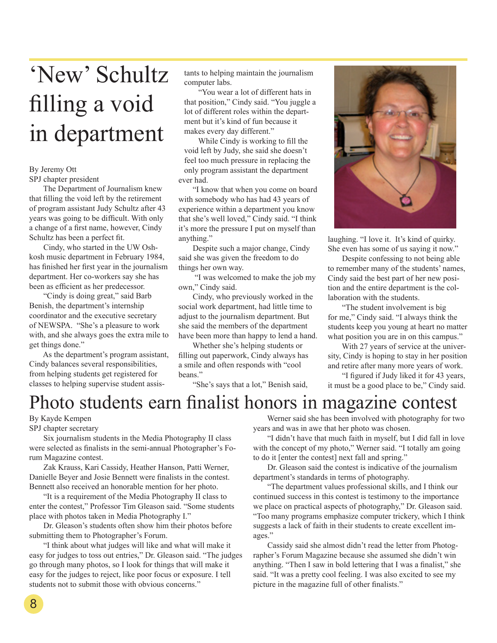# 'New' Schultz filling a void in department

### By Jeremy Ott

SPJ chapter president

 The Department of Journalism knew that filling the void left by the retirement of program assistant Judy Schultz after 43 years was going to be difficult. With only a change of a first name, however, Cindy Schultz has been a perfect fit.

 Cindy, who started in the UW Oshkosh music department in February 1984, has finished her first year in the journalism department. Her co-workers say she has been as efficient as her predecessor.

 "Cindy is doing great," said Barb Benish, the department's internship coordinator and the executive secretary of NEWSPA. "She's a pleasure to work with, and she always goes the extra mile to get things done."

 As the department's program assistant, Cindy balances several responsibilities, from helping students get registered for classes to helping supervise student assistants to helping maintain the journalism computer labs.

 "You wear a lot of different hats in that position," Cindy said. "You juggle a lot of different roles within the department but it's kind of fun because it makes every day different."

 While Cindy is working to fill the void left by Judy, she said she doesn't feel too much pressure in replacing the only program assistant the department ever had.

 "I know that when you come on board with somebody who has had 43 years of experience within a department you know that she's well loved," Cindy said. "I think it's more the pressure I put on myself than anything."

 Despite such a major change, Cindy said she was given the freedom to do things her own way.

 "I was welcomed to make the job my own," Cindy said.

 Cindy, who previously worked in the social work department, had little time to adjust to the journalism department. But she said the members of the department have been more than happy to lend a hand.

 Whether she's helping students or filling out paperwork, Cindy always has a smile and often responds with "cool beans."

"She's says that a lot," Benish said,



laughing. "I love it. It's kind of quirky. She even has some of us saying it now."

 Despite confessing to not being able to remember many of the students' names, Cindy said the best part of her new position and the entire department is the collaboration with the students.

 "The student involvement is big for me," Cindy said. "I always think the students keep you young at heart no matter what position you are in on this campus."

 With 27 years of service at the university, Cindy is hoping to stay in her position and retire after many more years of work.

 "I figured if Judy liked it for 43 years, it must be a good place to be," Cindy said.

# Photo students earn finalist honors in magazine contest

By Kayde Kempen

SPJ chapter secretary

 Six journalism students in the Media Photography II class were selected as finalists in the semi-annual Photographer's Forum Magazine contest.

 Zak Krauss, Kari Cassidy, Heather Hanson, Patti Werner, Danielle Beyer and Josie Bennett were finalists in the contest. Bennett also received an honorable mention for her photo.

 "It is a requirement of the Media Photography II class to enter the contest," Professor Tim Gleason said. "Some students place with photos taken in Media Photography I."

 Dr. Gleason's students often show him their photos before submitting them to Photographer's Forum.

 "I think about what judges will like and what will make it easy for judges to toss out entries," Dr. Gleason said. "The judges go through many photos, so I look for things that will make it easy for the judges to reject, like poor focus or exposure. I tell students not to submit those with obvious concerns."

 Werner said she has been involved with photography for two years and was in awe that her photo was chosen.

 "I didn't have that much faith in myself, but I did fall in love with the concept of my photo," Werner said. "I totally am going to do it [enter the contest] next fall and spring."

 Dr. Gleason said the contest is indicative of the journalism department's standards in terms of photography.

 "The department values professional skills, and I think our continued success in this contest is testimony to the importance we place on practical aspects of photography," Dr. Gleason said. "Too many programs emphasize computer trickery, which I think suggests a lack of faith in their students to create excellent images."

 Cassidy said she almost didn't read the letter from Photographer's Forum Magazine because she assumed she didn't win anything. "Then I saw in bold lettering that I was a finalist," she said. "It was a pretty cool feeling. I was also excited to see my picture in the magazine full of other finalists."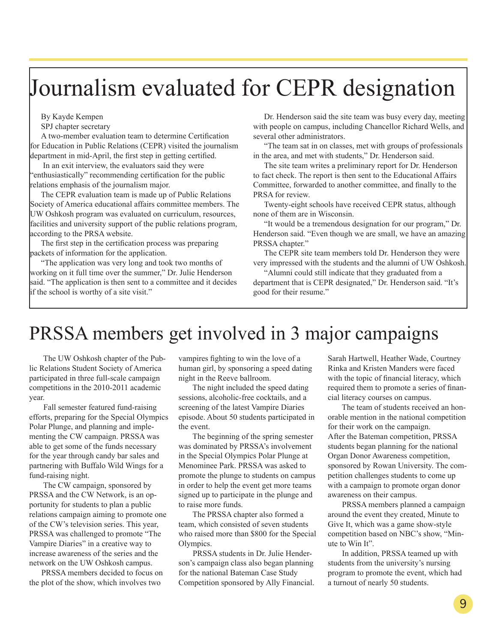# Journalism evaluated for CEPR designation

By Kayde Kempen

SPJ chapter secretary

A two-member evaluation team to determine Certification for Education in Public Relations (CEPR) visited the journalism department in mid-April, the first step in getting certified.

 In an exit interview, the evaluators said they were "enthusiastically" recommending certification for the public relations emphasis of the journalism major.

The CEPR evaluation team is made up of Public Relations Society of America educational affairs committee members. The UW Oshkosh program was evaluated on curriculum, resources, facilities and university support of the public relations program, according to the PRSA website.

The first step in the certification process was preparing packets of information for the application.

"The application was very long and took two months of working on it full time over the summer," Dr. Julie Henderson said. "The application is then sent to a committee and it decides if the school is worthy of a site visit."

Dr. Henderson said the site team was busy every day, meeting with people on campus, including Chancellor Richard Wells, and several other administrators.

"The team sat in on classes, met with groups of professionals in the area, and met with students," Dr. Henderson said.

The site team writes a preliminary report for Dr. Henderson to fact check. The report is then sent to the Educational Affairs Committee, forwarded to another committee, and finally to the PRSA for review.

Twenty-eight schools have received CEPR status, although none of them are in Wisconsin.

"It would be a tremendous designation for our program," Dr. Henderson said. "Even though we are small, we have an amazing PRSSA chapter."

The CEPR site team members told Dr. Henderson they were very impressed with the students and the alumni of UW Oshkosh.

"Alumni could still indicate that they graduated from a department that is CEPR designated," Dr. Henderson said. "It's good for their resume."

# PRSSA members get involved in 3 major campaigns

 The UW Oshkosh chapter of the Public Relations Student Society of America participated in three full-scale campaign competitions in the 2010-2011 academic year.

 Fall semester featured fund-raising efforts, preparing for the Special Olympics Polar Plunge, and planning and implementing the CW campaign. PRSSA was able to get some of the funds necessary for the year through candy bar sales and partnering with Buffalo Wild Wings for a fund-raising night.

 The CW campaign, sponsored by PRSSA and the CW Network, is an opportunity for students to plan a public relations campaign aiming to promote one of the CW's television series. This year, PRSSA was challenged to promote "The Vampire Diaries" in a creative way to increase awareness of the series and the network on the UW Oshkosh campus.

 PRSSA members decided to focus on the plot of the show, which involves two

vampires fighting to win the love of a human girl, by sponsoring a speed dating night in the Reeve ballroom.

 The night included the speed dating sessions, alcoholic-free cocktails, and a screening of the latest Vampire Diaries episode. About 50 students participated in the event.

 The beginning of the spring semester was dominated by PRSSA's involvement in the Special Olympics Polar Plunge at Menominee Park. PRSSA was asked to promote the plunge to students on campus in order to help the event get more teams signed up to participate in the plunge and to raise more funds.

 The PRSSA chapter also formed a team, which consisted of seven students who raised more than \$800 for the Special Olympics.

 PRSSA students in Dr. Julie Henderson's campaign class also began planning for the national Bateman Case Study Competition sponsored by Ally Financial. Sarah Hartwell, Heather Wade, Courtney Rinka and Kristen Manders were faced with the topic of financial literacy, which required them to promote a series of financial literacy courses on campus.

 The team of students received an honorable mention in the national competition for their work on the campaign. After the Bateman competition, PRSSA students began planning for the national Organ Donor Awareness competition, sponsored by Rowan University. The competition challenges students to come up with a campaign to promote organ donor awareness on their campus.

 PRSSA members planned a campaign around the event they created, Minute to Give It, which was a game show-style competition based on NBC's show, "Minute to Win It".

 In addition, PRSSA teamed up with students from the university's nursing program to promote the event, which had a turnout of nearly 50 students.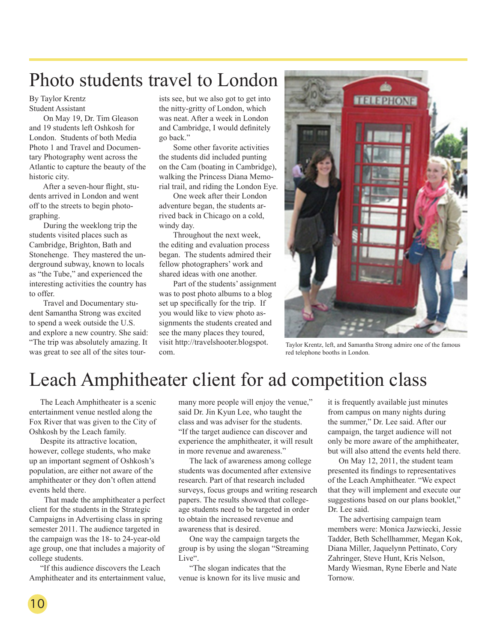# Photo students travel to London

By Taylor Krentz Student Assistant

 On May 19, Dr. Tim Gleason and 19 students left Oshkosh for London. Students of both Media Photo 1 and Travel and Documentary Photography went across the Atlantic to capture the beauty of the historic city.

 After a seven-hour flight, students arrived in London and went off to the streets to begin photographing.

 During the weeklong trip the students visited places such as Cambridge, Brighton, Bath and Stonehenge. They mastered the underground subway, known to locals as "the Tube," and experienced the interesting activities the country has to offer.

 Travel and Documentary student Samantha Strong was excited to spend a week outside the U.S. and explore a new country. She said: "The trip was absolutely amazing. It was great to see all of the sites tourists see, but we also got to get into the nitty-gritty of London, which was neat. After a week in London and Cambridge, I would definitely go back."

 Some other favorite activities the students did included punting on the Cam (boating in Cambridge), walking the Princess Diana Memorial trail, and riding the London Eye.

 One week after their London adventure began, the students arrived back in Chicago on a cold, windy day.

 Throughout the next week, the editing and evaluation process began. The students admired their fellow photographers' work and shared ideas with one another.

 Part of the students' assignment was to post photo albums to a blog set up specifically for the trip. If you would like to view photo assignments the students created and see the many places they toured, visit http://travelshooter.blogspot. com.



Taylor Krentz, left, and Samantha Strong admire one of the famous red telephone booths in London.

# Leach Amphitheater client for ad competition class

The Leach Amphitheater is a scenic entertainment venue nestled along the Fox River that was given to the City of Oshkosh by the Leach family.

Despite its attractive location, however, college students, who make up an important segment of Oshkosh's population, are either not aware of the amphitheater or they don't often attend events held there.

 That made the amphitheater a perfect client for the students in the Strategic Campaigns in Advertising class in spring semester 2011. The audience targeted in the campaign was the 18- to 24-year-old age group, one that includes a majority of college students.

"If this audience discovers the Leach Amphitheater and its entertainment value,

many more people will enjoy the venue," said Dr. Jin Kyun Lee, who taught the class and was adviser for the students. "If the target audience can discover and experience the amphitheater, it will result in more revenue and awareness."

The lack of awareness among college students was documented after extensive research. Part of that research included surveys, focus groups and writing research papers. The results showed that collegeage students need to be targeted in order to obtain the increased revenue and awareness that is desired.

One way the campaign targets the group is by using the slogan "Streaming Live".

"The slogan indicates that the venue is known for its live music and it is frequently available just minutes from campus on many nights during the summer," Dr. Lee said. After our campaign, the target audience will not only be more aware of the amphitheater, but will also attend the events held there.

On May 12, 2011, the student team presented its findings to representatives of the Leach Amphitheater. "We expect that they will implement and execute our suggestions based on our plans booklet," Dr. Lee said.

The advertising campaign team members were: Monica Jazwiecki, Jessie Tadder, Beth Schellhammer, Megan Kok, Diana Miller, Jaquelynn Pettinato, Cory Zahringer, Steve Hunt, Kris Nelson, Mardy Wiesman, Ryne Eberle and Nate Tornow.

10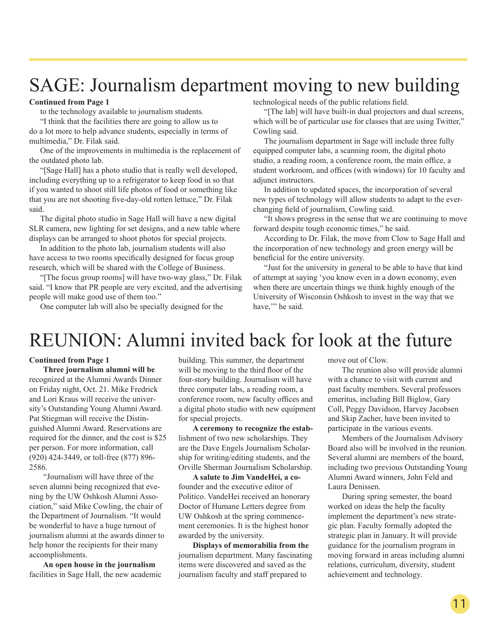# SAGE: Journalism department moving to new building

### **Continued from Page 1**

to the technology available to journalism students.

"I think that the facilities there are going to allow us to do a lot more to help advance students, especially in terms of multimedia," Dr. Filak said.

One of the improvements in multimedia is the replacement of the outdated photo lab.

"[Sage Hall] has a photo studio that is really well developed, including everything up to a refrigerator to keep food in so that if you wanted to shoot still life photos of food or something like that you are not shooting five-day-old rotten lettuce," Dr. Filak said.

The digital photo studio in Sage Hall will have a new digital SLR camera, new lighting for set designs, and a new table where displays can be arranged to shoot photos for special projects.

In addition to the photo lab, journalism students will also have access to two rooms specifically designed for focus group research, which will be shared with the College of Business.

"[The focus group rooms] will have two-way glass," Dr. Filak said. "I know that PR people are very excited, and the advertising people will make good use of them too."

One computer lab will also be specially designed for the

technological needs of the public relations field.

"[The lab] will have built-in dual projectors and dual screens, which will be of particular use for classes that are using Twitter," Cowling said.

The journalism department in Sage will include three fully equipped computer labs, a scanning room, the digital photo studio, a reading room, a conference room, the main office, a student workroom, and offices (with windows) for 10 faculty and adjunct instructors.

In addition to updated spaces, the incorporation of several new types of technology will allow students to adapt to the everchanging field of journalism, Cowling said.

"It shows progress in the sense that we are continuing to move forward despite tough economic times," he said.

According to Dr. Filak, the move from Clow to Sage Hall and the incorporation of new technology and green energy will be beneficial for the entire university.

"Just for the university in general to be able to have that kind of attempt at saying 'you know even in a down economy, even when there are uncertain things we think highly enough of the University of Wisconsin Oshkosh to invest in the way that we have," he said.

# REUNION: Alumni invited back for look at the future

#### **Continued from Page 1**

 **Three journalism alumni will be**  recognized at the Alumni Awards Dinner on Friday night, Oct. 21. Mike Fredrick and Lori Kraus will receive the university's Outstanding Young Alumni Award. Pat Stiegman will receive the Distinguished Alumni Award. Reservations are required for the dinner, and the cost is \$25 per person. For more information, call (920) 424-3449, or toll-free (877) 896- 2586.

 "Journalism will have three of the seven alumni being recognized that evening by the UW Oshkosh Alumni Association," said Mike Cowling, the chair of the Department of Journalism. "It would be wonderful to have a huge turnout of journalism alumni at the awards dinner to help honor the recipients for their many accomplishments.

 **An open house in the journalism**  facilities in Sage Hall, the new academic

building. This summer, the department will be moving to the third floor of the four-story building. Journalism will have three computer labs, a reading room, a conference room, new faculty offices and a digital photo studio with new equipment for special projects.

 **A ceremony to recognize the estab**lishment of two new scholarships. They are the Dave Engels Journalism Scholarship for writing/editing students, and the Orville Sherman Journalism Scholarship.

 **A salute to Jim VandeHei, a co**founder and the executive editor of Politico. VandeHei received an honorary Doctor of Humane Letters degree from UW Oshkosh at the spring commencement ceremonies. It is the highest honor awarded by the university.

 **Displays of memorabilia from the** journalism department. Many fascinating items were discovered and saved as the journalism faculty and staff prepared to

move out of Clow.

 The reunion also will provide alumni with a chance to visit with current and past faculty members. Several professors emeritus, including Bill Biglow, Gary Coll, Peggy Davidson, Harvey Jacobsen and Skip Zacher, have been invited to participate in the various events.

 Members of the Journalism Advisory Board also will be involved in the reunion. Several alumni are members of the board, including two previous Outstanding Young Alumni Award winners, John Feld and Laura Denissen.

 During spring semester, the board worked on ideas the help the faculty implement the department's new strategic plan. Faculty formally adopted the strategic plan in January. It will provide guidance for the journalism program in moving forward in areas including alumni relations, curriculum, diversity, student achievement and technology.